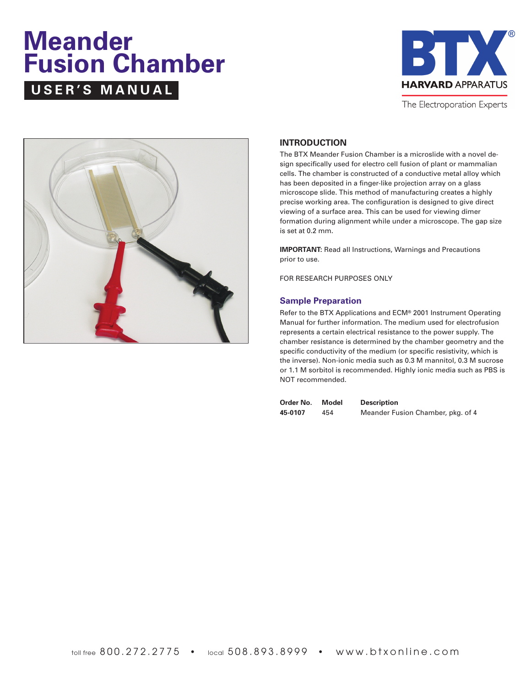# **Meander Fusion Chamber USER'S MANUAL**



The Electroporation Experts



### **INTRODUCTION**

The BTX Meander Fusion Chamber is a microslide with a novel design specifically used for electro cell fusion of plant or mammalian cells. The chamber is constructed of a conductive metal alloy which has been deposited in a finger-like projection array on a glass microscope slide. This method of manufacturing creates a highly precise working area. The configuration is designed to give direct viewing of a surface area. This can be used for viewing dimer formation during alignment while under a microscope. The gap size is set at 0.2 mm.

**IMPORTANT:** Read all Instructions, Warnings and Precautions prior to use.

FOR RESEARCH PURPOSES ONLY

### **Sample Preparation**

Refer to the BTX Applications and ECM® 2001 Instrument Operating Manual for further information. The medium used for electrofusion represents a certain electrical resistance to the power supply. The chamber resistance is determined by the chamber geometry and the specific conductivity of the medium (or specific resistivity, which is the inverse). Non-ionic media such as 0.3 M mannitol, 0.3 M sucrose or 1.1 M sorbitol is recommended. Highly ionic media such as PBS is NOT recommended.

| Order No. | Model | <b>Description</b>                |
|-----------|-------|-----------------------------------|
| 45-0107   | 454   | Meander Fusion Chamber, pkg. of 4 |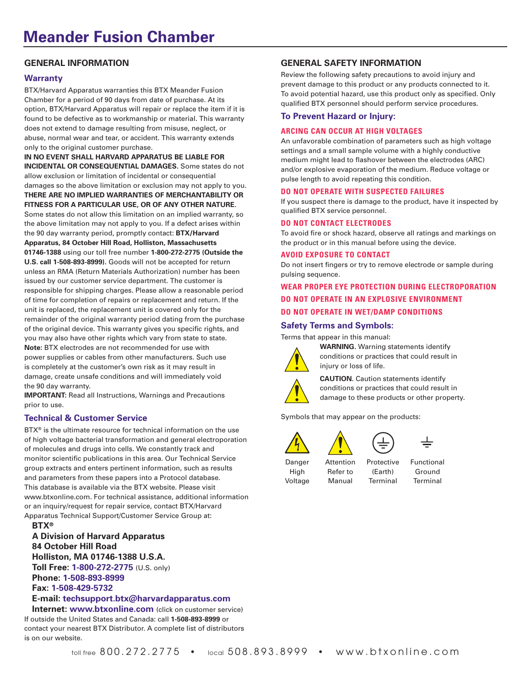### **GENERAL INFORMATION**

### **Warranty**

BTX/Harvard Apparatus warranties this BTX Meander Fusion Chamber for a period of 90 days from date of purchase. At its option, BTX/Harvard Apparatus will repair or replace the item if it is found to be defective as to workmanship or material. This warranty does not extend to damage resulting from misuse, neglect, or abuse, normal wear and tear, or accident. This warranty extends only to the original customer purchase.

**IN NO EVENT SHALL HARVARD APPARATUS BE LIABLE FOR INCIDENTAL OR CONSEQUENTIAL DAMAGES.** Some states do not allow exclusion or limitation of incidental or consequential damages so the above limitation or exclusion may not apply to you. **THERE ARE NO IMPLIED WARRANTIES OF MERCHANTABILITY OR FITNESS FOR A PARTICULAR USE, OR OF ANY OTHER NATURE.**

Some states do not allow this limitation on an implied warranty, so the above limitation may not apply to you. If a defect arises within the 90 day warranty period, promptly contact: **BTX/Harvard** 

**Apparatus, 84 October Hill Road, Holliston, Massachusetts 01746-1388** using our toll free number **1-800-272-2775 (Outside the U.S. call 1-508-893-8999).** Goods will not be accepted for return unless an RMA (Return Materials Authorization) number has been issued by our customer service department. The customer is responsible for shipping charges. Please allow a reasonable period of time for completion of repairs or replacement and return. If the unit is replaced, the replacement unit is covered only for the remainder of the original warranty period dating from the purchase of the original device. This warranty gives you specific rights, and you may also have other rights which vary from state to state. **Note:** BTX electrodes are not recommended for use with power supplies or cables from other manufacturers. Such use is completely at the customer's own risk as it may result in damage, create unsafe conditions and will immediately void the 90 day warranty.

**IMPORTANT:** Read all Instructions, Warnings and Precautions prior to use.

### **Technical & Customer Service**

BTX® is the ultimate resource for technical information on the use of high voltage bacterial transformation and general electroporation of molecules and drugs into cells. We constantly track and monitor scientific publications in this area. Our Technical Service group extracts and enters pertinent information, such as results and parameters from these papers into a Protocol database. This database is available via the BTX website. Please visit www.btxonline.com. For technical assistance, additional information or an inquiry/request for repair service, contact BTX/Harvard Apparatus Technical Support/Customer Service Group at:

**BTX®**

**A Division of Harvard Apparatus 84 October Hill Road Holliston, MA 01746-1388 U.S.A. Toll Free: 1-800-272-2775** (U.S. only) **Phone: 1-508-893-8999 Fax: 1-508-429-5732 E-mail: techsupport.btx@harvardapparatus.com**

**Internet: www.btxonline.com** (click on customer service) If outside the United States and Canada: call **1-508-893-8999** or contact your nearest BTX Distributor. A complete list of distributors is on our website.

### **GENERAL SAFETY INFORMATION**

Review the following safety precautions to avoid injury and prevent damage to this product or any products connected to it. To avoid potential hazard, use this product only as specified. Only qualified BTX personnel should perform service procedures.

### **To Prevent Hazard or Injury:**

### **ARCING CAN OCCUR AT HIGH VOLTAGES**

An unfavorable combination of parameters such as high voltage settings and a small sample volume with a highly conductive medium might lead to flashover between the electrodes (ARC) and/or explosive evaporation of the medium. Reduce voltage or pulse length to avoid repeating this condition.

### **DO NOT OPERATE WITH SUSPECTED FAILURES**

If you suspect there is damage to the product, have it inspected by qualified BTX service personnel.

### **DO NOT CONTACT ELECTRODES**

To avoid fire or shock hazard, observe all ratings and markings on the product or in this manual before using the device.

### **AVOID EXPOSURE TO CONTACT**

Do not insert fingers or try to remove electrode or sample during pulsing sequence.

**WEAR PROPER EYE PROTECTION DURING ELECTROPORATION DO NOT OPERATE IN AN EXPLOSIVE ENVIRONMENT DO NOT OPERATE IN WET/DAMP CONDITIONS**

### **Safety Terms and Symbols:**

Terms that appear in this manual:



**WARNING.** Warning statements identify conditions or practices that could result in injury or loss of life.

**CAUTION.** Caution statements identify conditions or practices that could result in damage to these products or other property.

Symbols that may appear on the products:



Voltage Manual Terminal Terminal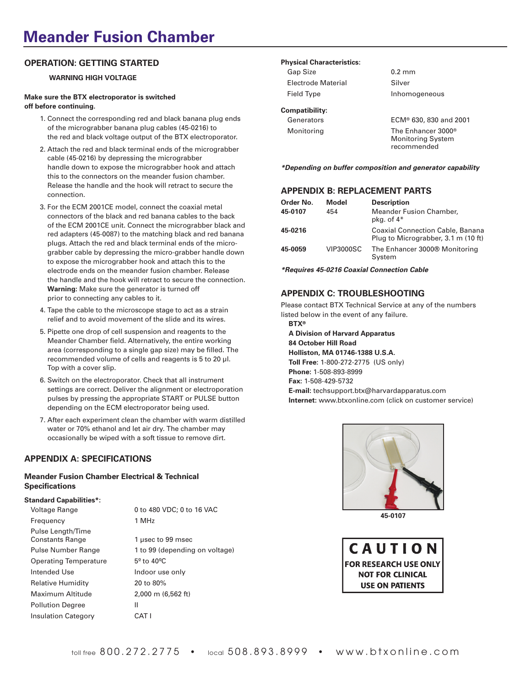## **Meander Fusion Chamber**

### **OPERATION: GETTING STARTED**

### **WARNING HIGH VOLTAGE**

### **Make sure the BTX electroporator is switched off before continuing.**

- 1. Connect the corresponding red and black banana plug ends of the micrograbber banana plug cables (45-0216) to the red and black voltage output of the BTX electroporator.
- 2. Attach the red and black terminal ends of the micrograbber cable (45-0216) by depressing the micrograbber handle down to expose the micrograbber hook and attach this to the connectors on the meander fusion chamber. Release the handle and the hook will retract to secure the connection.
- 3. For the ECM 2001CE model, connect the coaxial metal connectors of the black and red banana cables to the back of the ECM 2001CE unit. Connect the micrograbber black and red adapters (45-0087) to the matching black and red banana plugs. Attach the red and black terminal ends of the micrograbber cable by depressing the micro-grabber handle down to expose the micrograbber hook and attach this to the electrode ends on the meander fusion chamber. Release the handle and the hook will retract to secure the connection. **Warning:** Make sure the generator is turned off prior to connecting any cables to it.
- 4. Tape the cable to the microscope stage to act as a strain relief and to avoid movement of the slide and its wires.
- 5. Pipette one drop of cell suspension and reagents to the Meander Chamber field. Alternatively, the entire working area (corresponding to a single gap size) may be filled. The recommended volume of cells and reagents is 5 to 20 µl. Top with a cover slip.
- 6. Switch on the electroporator. Check that all instrument settings are correct. Deliver the alignment or electroporation pulses by pressing the appropriate START or PULSE button depending on the ECM electroporator being used.
- 7. After each experiment clean the chamber with warm distilled water or 70% ethanol and let air dry. The chamber may occasionally be wiped with a soft tissue to remove dirt.

### **APPENDIX A: SPECIFICATIONS**

### **Meander Fusion Chamber Electrical & Technical Specifications**

### **Standard Capabilities\*:**

| Voltage Range                               | 0 to 480 VDC; 0 to 16 VAC        |
|---------------------------------------------|----------------------------------|
| Frequency                                   | 1 MHz                            |
| Pulse Length/Time<br><b>Constants Range</b> | 1 usec to 99 msec                |
| Pulse Number Range                          | 1 to 99 (depending on voltage)   |
| <b>Operating Temperature</b>                | $5^{\circ}$ to 40 <sup>o</sup> C |
| Intended Use                                | Indoor use only                  |
| Relative Humidity                           | 20 to 80%                        |
| Maximum Altitude                            | 2,000 m (6,562 ft)               |
| <b>Pollution Degree</b>                     | Ш                                |
| <b>Insulation Category</b>                  | CAT I                            |
|                                             |                                  |

### **Physical Characteristics:**

| Gap Size                  | $0.2 \text{ mm}$               |
|---------------------------|--------------------------------|
| <b>Electrode Material</b> | Silver                         |
| Field Type                | Inhomogeneous                  |
| Compatibility:            |                                |
| Generators                | ECM® 630, 830 and 2001         |
| Monitoring                | The Enhancer 3000 <sup>®</sup> |

Monitoring System recommended

**\*Depending on buffer composition and generator capability**

### **APPENDIX B: REPLACEMENT PARTS**

| Order No. | Model            | <b>Description</b>                                                             |
|-----------|------------------|--------------------------------------------------------------------------------|
| 45-0107   | 454              | Meander Fusion Chamber,<br>pkg. of $4*$                                        |
| 45-0216   |                  | <b>Coaxial Connection Cable, Banana</b><br>Plug to Micrograbber, 3.1 m (10 ft) |
| 45-0059   | <b>VIP3000SC</b> | The Enhancer 3000® Monitoring<br>System                                        |

**\*Requires 45-0216 Coaxial Connection Cable**

### **APPENDIX C: TROUBLESHOOTING**

Please contact BTX Technical Service at any of the numbers listed below in the event of any failure. **BTX®**

**A Division of Harvard Apparatus 84 October Hill Road Holliston, MA 01746-1388 U.S.A. Toll Free:** 1-800-272-2775 (US only) **Phone:** 1-508-893-8999 **Fax:** 1-508-429-5732 **E-mail:** techsupport.btx@harvardapparatus.com **Internet:** www.btxonline.com (click on customer service)



**45-0107**

CAUTION **FOR RESEARCH USE ONLY NOT FOR CLINICAL USE ON PATIENTS**